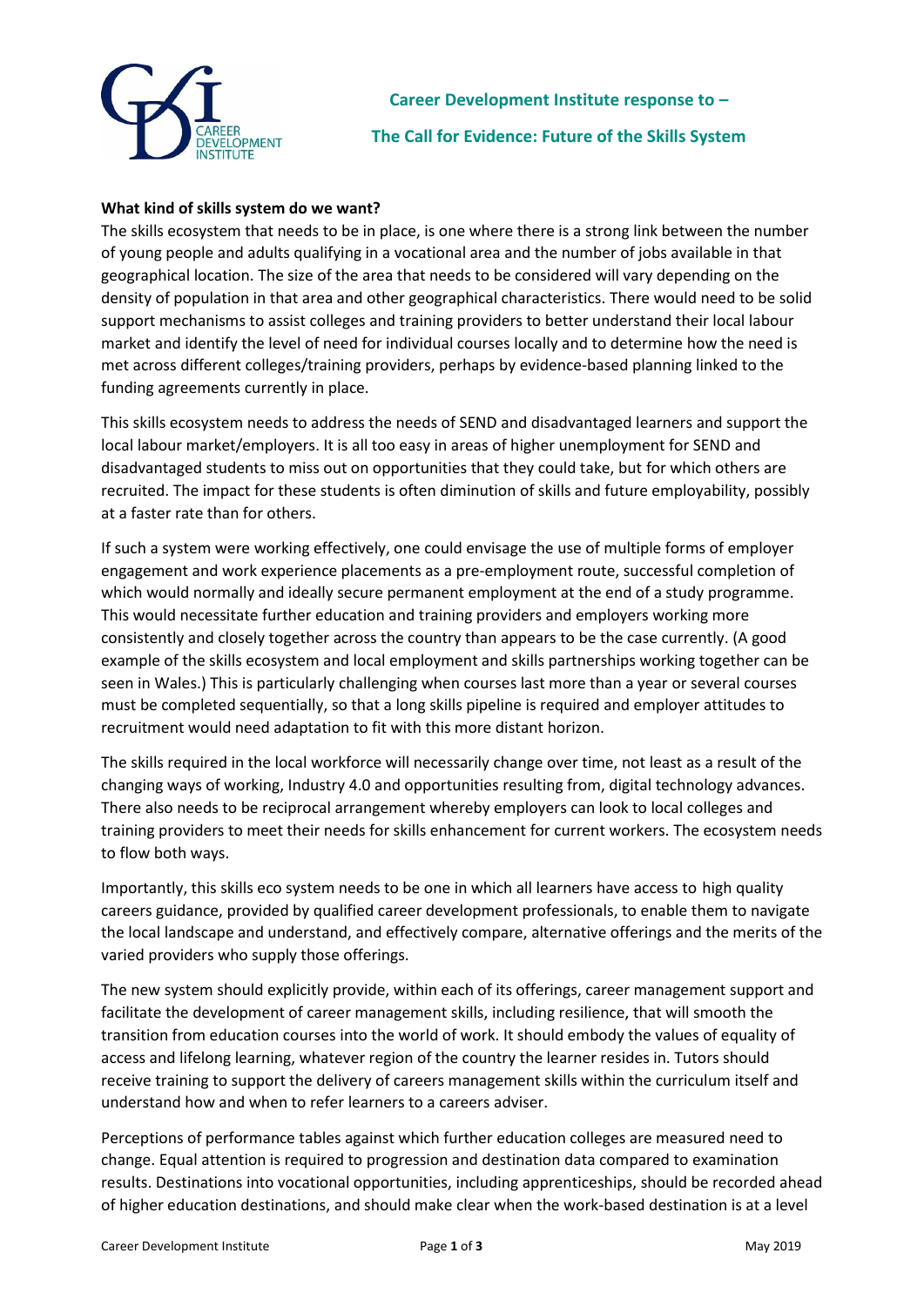

**Career Development Institute response to –**

# **The Call for Evidence: Future of the Skills System**

## **What kind of skills system do we want?**

The skills ecosystem that needs to be in place, is one where there is a strong link between the number of young people and adults qualifying in a vocational area and the number of jobs available in that geographical location. The size of the area that needs to be considered will vary depending on the density of population in that area and other geographical characteristics. There would need to be solid support mechanisms to assist colleges and training providers to better understand their local labour market and identify the level of need for individual courses locally and to determine how the need is met across different colleges/training providers, perhaps by evidence-based planning linked to the funding agreements currently in place.

This skills ecosystem needs to address the needs of SEND and disadvantaged learners and support the local labour market/employers. It is all too easy in areas of higher unemployment for SEND and disadvantaged students to miss out on opportunities that they could take, but for which others are recruited. The impact for these students is often diminution of skills and future employability, possibly at a faster rate than for others.

If such a system were working effectively, one could envisage the use of multiple forms of employer engagement and work experience placements as a pre-employment route, successful completion of which would normally and ideally secure permanent employment at the end of a study programme. This would necessitate further education and training providers and employers working more consistently and closely together across the country than appears to be the case currently. (A good example of the skills ecosystem and local employment and skills partnerships working together can be seen in Wales.) This is particularly challenging when courses last more than a year or several courses must be completed sequentially, so that a long skills pipeline is required and employer attitudes to recruitment would need adaptation to fit with this more distant horizon.

The skills required in the local workforce will necessarily change over time, not least as a result of the changing ways of working, Industry 4.0 and opportunities resulting from, digital technology advances. There also needs to be reciprocal arrangement whereby employers can look to local colleges and training providers to meet their needs for skills enhancement for current workers. The ecosystem needs to flow both ways.

Importantly, this skills eco system needs to be one in which all learners have access to high quality careers guidance, provided by qualified career development professionals, to enable them to navigate the local landscape and understand, and effectively compare, alternative offerings and the merits of the varied providers who supply those offerings.

The new system should explicitly provide, within each of its offerings, career management support and facilitate the development of career management skills, including resilience, that will smooth the transition from education courses into the world of work. It should embody the values of equality of access and lifelong learning, whatever region of the country the learner resides in. Tutors should receive training to support the delivery of careers management skills within the curriculum itself and understand how and when to refer learners to a careers adviser.

Perceptions of performance tables against which further education colleges are measured need to change. Equal attention is required to progression and destination data compared to examination results. Destinations into vocational opportunities, including apprenticeships, should be recorded ahead of higher education destinations, and should make clear when the work-based destination is at a level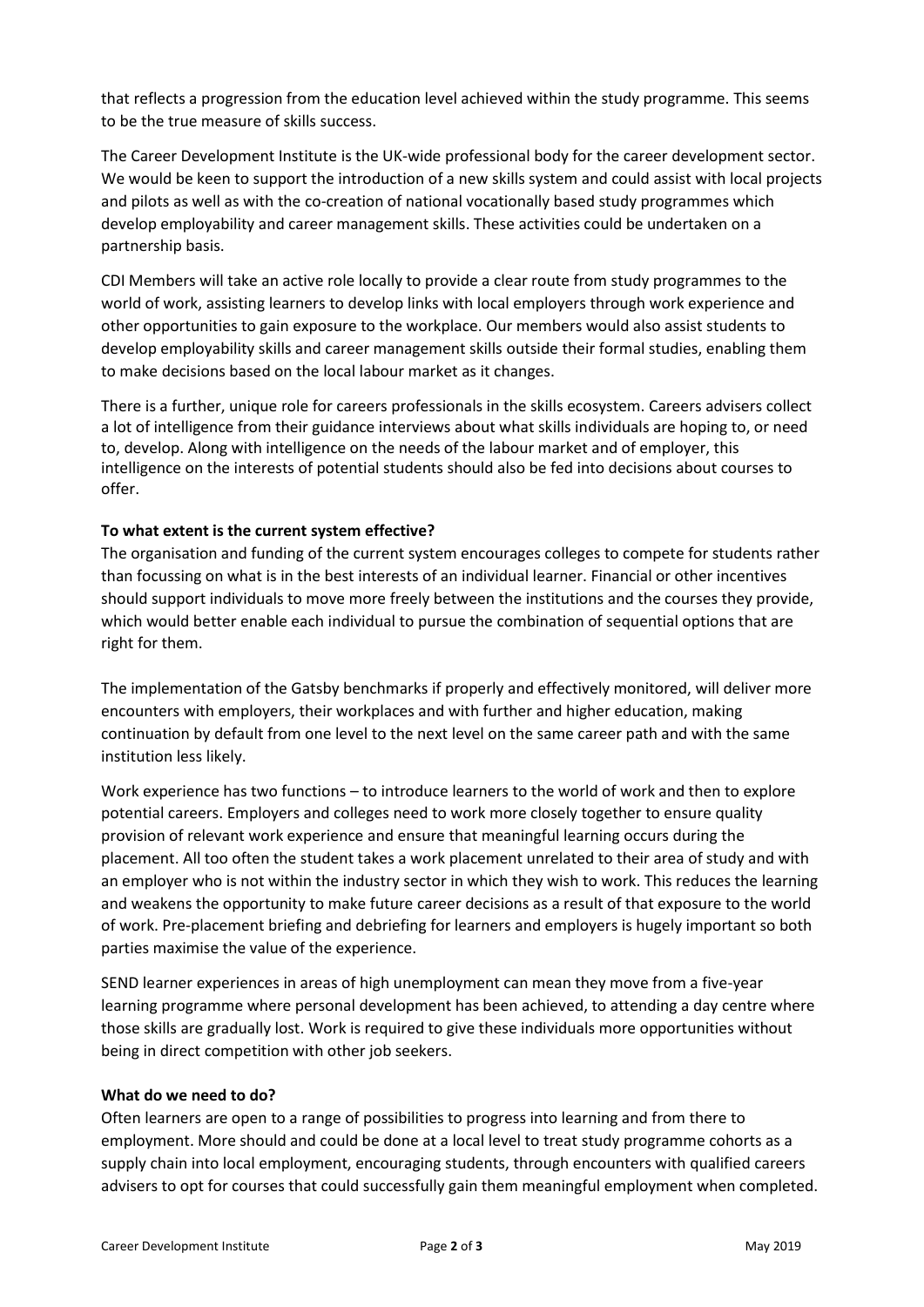that reflects a progression from the education level achieved within the study programme. This seems to be the true measure of skills success.

The Career Development Institute is the UK-wide professional body for the career development sector. We would be keen to support the introduction of a new skills system and could assist with local projects and pilots as well as with the co-creation of national vocationally based study programmes which develop employability and career management skills. These activities could be undertaken on a partnership basis.

CDI Members will take an active role locally to provide a clear route from study programmes to the world of work, assisting learners to develop links with local employers through work experience and other opportunities to gain exposure to the workplace. Our members would also assist students to develop employability skills and career management skills outside their formal studies, enabling them to make decisions based on the local labour market as it changes.

There is a further, unique role for careers professionals in the skills ecosystem. Careers advisers collect a lot of intelligence from their guidance interviews about what skills individuals are hoping to, or need to, develop. Along with intelligence on the needs of the labour market and of employer, this intelligence on the interests of potential students should also be fed into decisions about courses to offer.

#### **To what extent is the current system effective?**

The organisation and funding of the current system encourages colleges to compete for students rather than focussing on what is in the best interests of an individual learner. Financial or other incentives should support individuals to move more freely between the institutions and the courses they provide, which would better enable each individual to pursue the combination of sequential options that are right for them.

The implementation of the Gatsby benchmarks if properly and effectively monitored, will deliver more encounters with employers, their workplaces and with further and higher education, making continuation by default from one level to the next level on the same career path and with the same institution less likely.

Work experience has two functions – to introduce learners to the world of work and then to explore potential careers. Employers and colleges need to work more closely together to ensure quality provision of relevant work experience and ensure that meaningful learning occurs during the placement. All too often the student takes a work placement unrelated to their area of study and with an employer who is not within the industry sector in which they wish to work. This reduces the learning and weakens the opportunity to make future career decisions as a result of that exposure to the world of work. Pre-placement briefing and debriefing for learners and employers is hugely important so both parties maximise the value of the experience.

SEND learner experiences in areas of high unemployment can mean they move from a five-year learning programme where personal development has been achieved, to attending a day centre where those skills are gradually lost. Work is required to give these individuals more opportunities without being in direct competition with other job seekers.

### **What do we need to do?**

Often learners are open to a range of possibilities to progress into learning and from there to employment. More should and could be done at a local level to treat study programme cohorts as a supply chain into local employment, encouraging students, through encounters with qualified careers advisers to opt for courses that could successfully gain them meaningful employment when completed.